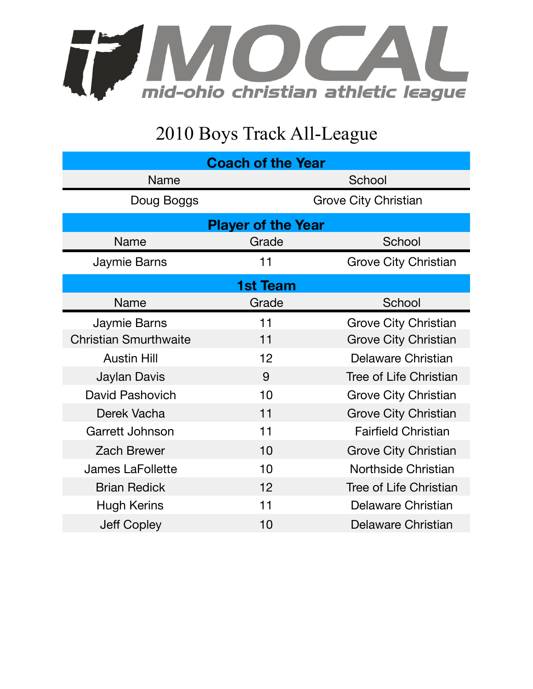

## 2010 Boys Track All-League

| <b>Coach of the Year</b>     |                             |                             |  |  |
|------------------------------|-----------------------------|-----------------------------|--|--|
| <b>Name</b>                  | School                      |                             |  |  |
| Doug Boggs                   | <b>Grove City Christian</b> |                             |  |  |
| <b>Player of the Year</b>    |                             |                             |  |  |
| Name                         | Grade                       | School                      |  |  |
| Jaymie Barns                 | 11                          | <b>Grove City Christian</b> |  |  |
| <b>1st Team</b>              |                             |                             |  |  |
| <b>Name</b>                  | Grade                       | School                      |  |  |
| Jaymie Barns                 | 11                          | <b>Grove City Christian</b> |  |  |
| <b>Christian Smurthwaite</b> | 11                          | <b>Grove City Christian</b> |  |  |
| <b>Austin Hill</b>           | 12                          | Delaware Christian          |  |  |
| Jaylan Davis                 | 9                           | Tree of Life Christian      |  |  |
| <b>David Pashovich</b>       | 10                          | <b>Grove City Christian</b> |  |  |
| Derek Vacha                  | 11                          | <b>Grove City Christian</b> |  |  |
| Garrett Johnson              | 11                          | <b>Fairfield Christian</b>  |  |  |
| <b>Zach Brewer</b>           | 10                          | <b>Grove City Christian</b> |  |  |
| <b>James LaFollette</b>      | 10                          | <b>Northside Christian</b>  |  |  |
| <b>Brian Redick</b>          | 12                          | Tree of Life Christian      |  |  |
| <b>Hugh Kerins</b>           | 11                          | Delaware Christian          |  |  |
| <b>Jeff Copley</b>           | 10                          | <b>Delaware Christian</b>   |  |  |